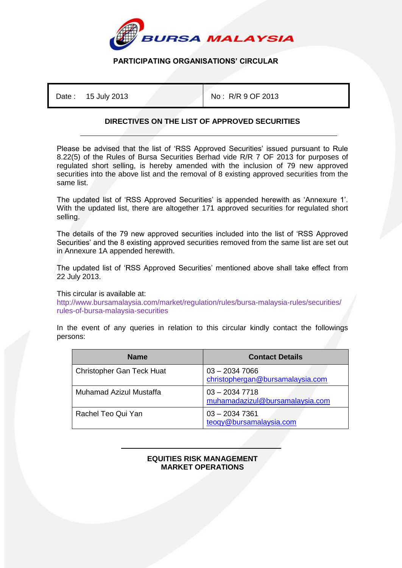

## **PARTICIPATING ORGANISATIONS' CIRCULAR**

Date : 15 July 2013 **No : R/R 9 OF 2013** 

## **DIRECTIVES ON THE LIST OF APPROVED SECURITIES**

Please be advised that the list of 'RSS Approved Securities' issued pursuant to Rule 8.22(5) of the Rules of Bursa Securities Berhad vide R/R 7 OF 2013 for purposes of regulated short selling, is hereby amended with the inclusion of 79 new approved securities into the above list and the removal of 8 existing approved securities from the same list.

The updated list of 'RSS Approved Securities' is appended herewith as 'Annexure 1'. With the updated list, there are altogether 171 approved securities for regulated short selling.

The details of the 79 new approved securities included into the list of 'RSS Approved Securities' and the 8 existing approved securities removed from the same list are set out in Annexure 1A appended herewith.

The updated list of 'RSS Approved Securities' mentioned above shall take effect from 22 July 2013.

This circular is available at:

http://www.bursamalaysia.com/market/regulation/rules/bursa-malaysia-rules/securities/ rules-of-bursa-malaysia-securities

In the event of any queries in relation to this circular kindly contact the followings persons:

| <b>Name</b>                      | <b>Contact Details</b>                              |
|----------------------------------|-----------------------------------------------------|
| <b>Christopher Gan Teck Huat</b> | $03 - 20347066$<br>christophergan@bursamalaysia.com |
| Muhamad Azizul Mustaffa          | $03 - 20347718$<br>muhamadazizul@bursamalaysia.com  |
| Rachel Teo Qui Yan               | $03 - 20347361$<br>teoqy@bursamalaysia.com          |

## ֺ **EQUITIES RISK MANAGEMENT MARKET OPERATIONS**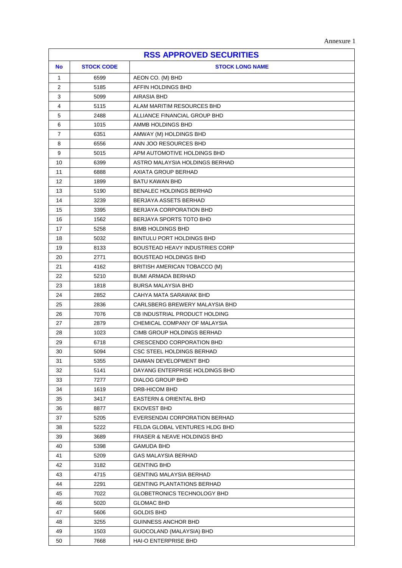| <b>RSS APPROVED SECURITIES</b> |                   |                                        |
|--------------------------------|-------------------|----------------------------------------|
| <b>No</b>                      | <b>STOCK CODE</b> | <b>STOCK LONG NAME</b>                 |
| $\mathbf{1}$                   | 6599              | AEON CO. (M) BHD                       |
| 2                              | 5185              | AFFIN HOLDINGS BHD                     |
| 3                              | 5099              | AIRASIA BHD                            |
| 4                              | 5115              | ALAM MARITIM RESOURCES BHD             |
| 5                              | 2488              | ALLIANCE FINANCIAL GROUP BHD           |
| 6                              | 1015              | AMMB HOLDINGS BHD                      |
| 7                              | 6351              | AMWAY (M) HOLDINGS BHD                 |
| 8                              | 6556              | ANN JOO RESOURCES BHD                  |
| 9                              | 5015              | APM AUTOMOTIVE HOLDINGS BHD            |
| 10                             | 6399              | ASTRO MALAYSIA HOLDINGS BERHAD         |
| 11                             | 6888              | AXIATA GROUP BERHAD                    |
| 12                             | 1899              | BATU KAWAN BHD                         |
| 13                             | 5190              | BENALEC HOLDINGS BERHAD                |
| 14                             | 3239              | BERJAYA ASSETS BERHAD                  |
| 15                             | 3395              | <b>BERJAYA CORPORATION BHD</b>         |
| 16                             | 1562              | BERJAYA SPORTS TOTO BHD                |
| 17                             | 5258              | <b>BIMB HOLDINGS BHD</b>               |
| 18                             | 5032              | BINTULU PORT HOLDINGS BHD              |
| 19                             | 8133              | <b>BOUSTEAD HEAVY INDUSTRIES CORP</b>  |
| 20                             | 2771              | <b>BOUSTEAD HOLDINGS BHD</b>           |
| 21                             | 4162              | BRITISH AMERICAN TOBACCO (M)           |
| 22                             | 5210              | <b>BUMI ARMADA BERHAD</b>              |
| 23                             | 1818              | <b>BURSA MALAYSIA BHD</b>              |
| 24                             | 2852              | CAHYA MATA SARAWAK BHD                 |
| 25                             | 2836              | CARLSBERG BREWERY MALAYSIA BHD         |
| 26                             | 7076              | CB INDUSTRIAL PRODUCT HOLDING          |
| 27                             | 2879              | CHEMICAL COMPANY OF MALAYSIA           |
| 28                             | 1023              | CIMB GROUP HOLDINGS BERHAD             |
| 29                             | 6718              | <b>CRESCENDO CORPORATION BHD</b>       |
| 30                             | 5094              | CSC STEEL HOLDINGS BERHAD              |
| 31                             | 5355              | DAIMAN DEVELOPMENT BHD                 |
| 32                             | 5141              | DAYANG ENTERPRISE HOLDINGS BHD         |
| 33                             | 7277              | <b>DIALOG GROUP BHD</b>                |
| 34                             | 1619              | DRB-HICOM BHD                          |
| 35                             | 3417              | <b>EASTERN &amp; ORIENTAL BHD</b>      |
| 36                             | 8877              | <b>EKOVEST BHD</b>                     |
| 37                             | 5205              | EVERSENDAI CORPORATION BERHAD          |
| 38                             | 5222              | FELDA GLOBAL VENTURES HLDG BHD         |
| 39                             | 3689              | <b>FRASER &amp; NEAVE HOLDINGS BHD</b> |
| 40                             | 5398              | <b>GAMUDA BHD</b>                      |
| 41                             | 5209              | <b>GAS MALAYSIA BERHAD</b>             |
| 42                             | 3182              | <b>GENTING BHD</b>                     |
| 43                             | 4715              | <b>GENTING MALAYSIA BERHAD</b>         |
| 44                             | 2291              | <b>GENTING PLANTATIONS BERHAD</b>      |
| 45                             | 7022              | GLOBETRONICS TECHNOLOGY BHD            |
| 46                             | 5020              | <b>GLOMAC BHD</b>                      |
| 47                             | 5606              | <b>GOLDIS BHD</b>                      |
| 48                             | 3255              | <b>GUINNESS ANCHOR BHD</b>             |
| 49                             | 1503              | GUOCOLAND (MALAYSIA) BHD               |
| 50                             | 7668              | HAI-O ENTERPRISE BHD                   |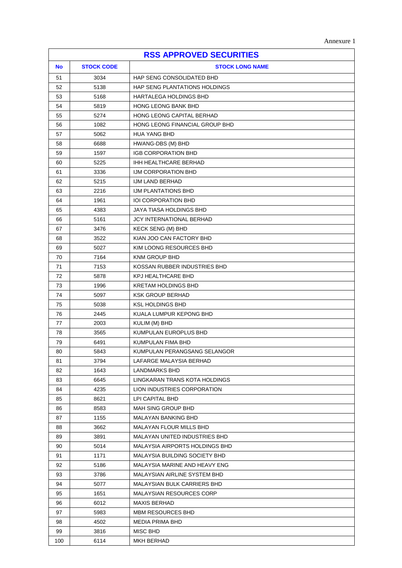| Annexure |  |
|----------|--|
|----------|--|

| <b>RSS APPROVED SECURITIES</b> |                   |                                      |
|--------------------------------|-------------------|--------------------------------------|
| <b>No</b>                      | <b>STOCK CODE</b> | <b>STOCK LONG NAME</b>               |
| 51                             | 3034              | HAP SENG CONSOLIDATED BHD            |
| 52                             | 5138              | HAP SENG PLANTATIONS HOLDINGS        |
| 53                             | 5168              | HARTALEGA HOLDINGS BHD               |
| 54                             | 5819              | <b>HONG LEONG BANK BHD</b>           |
| 55                             | 5274              | HONG LEONG CAPITAL BERHAD            |
| 56                             | 1082              | HONG LEONG FINANCIAL GROUP BHD       |
| 57                             | 5062              | <b>HUA YANG BHD</b>                  |
| 58                             | 6688              | HWANG-DBS (M) BHD                    |
| 59                             | 1597              | <b>IGB CORPORATION BHD</b>           |
| 60                             | 5225              | <b>IHH HEALTHCARE BERHAD</b>         |
| 61                             | 3336              | IJM CORPORATION BHD                  |
| 62                             | 5215              | IJM LAND BERHAD                      |
| 63                             | 2216              | <b>IJM PLANTATIONS BHD</b>           |
| 64                             | 1961              | <b>IOI CORPORATION BHD</b>           |
| 65                             | 4383              | JAYA TIASA HOLDINGS BHD              |
| 66                             | 5161              | JCY INTERNATIONAL BERHAD             |
| 67                             | 3476              | <b>KECK SENG (M) BHD</b>             |
| 68                             | 3522              | KIAN JOO CAN FACTORY BHD             |
| 69                             | 5027              | KIM LOONG RESOURCES BHD              |
| 70                             | 7164              | <b>KNM GROUP BHD</b>                 |
| 71                             | 7153              | KOSSAN RUBBER INDUSTRIES BHD         |
| 72                             | 5878              | <b>KPJ HEALTHCARE BHD</b>            |
| 73                             | 1996              | <b>KRETAM HOLDINGS BHD</b>           |
| 74                             | 5097              | <b>KSK GROUP BERHAD</b>              |
| 75                             | 5038              | <b>KSL HOLDINGS BHD</b>              |
| 76                             | 2445              | KUALA LUMPUR KEPONG BHD              |
| 77                             | 2003              | KULIM (M) BHD                        |
| 78                             | 3565              | KUMPULAN EUROPLUS BHD                |
| 79                             | 6491              | KUMPULAN FIMA BHD                    |
| 80                             | 5843              | KUMPULAN PERANGSANG SELANGOR         |
| 81                             | 3794              | LAFARGE MALAYSIA BERHAD              |
| 82                             | 1643              | LANDMARKS BHD                        |
| 83                             | 6645              | LINGKARAN TRANS KOTA HOLDINGS        |
| 84                             | 4235              | LION INDUSTRIES CORPORATION          |
| 85                             | 8621              | LPI CAPITAL BHD                      |
| 86                             | 8583              | <b>MAH SING GROUP BHD</b>            |
| 87                             | 1155              | <b>MALAYAN BANKING BHD</b>           |
| 88                             | 3662              | <b>MALAYAN FLOUR MILLS BHD</b>       |
| 89                             | 3891              | MALAYAN UNITED INDUSTRIES BHD        |
| 90                             | 5014              | MALAYSIA AIRPORTS HOLDINGS BHD       |
| 91                             | 1171              | <b>MALAYSIA BUILDING SOCIETY BHD</b> |
| 92                             | 5186              | MALAYSIA MARINE AND HEAVY ENG        |
| 93                             | 3786              | <b>MALAYSIAN AIRLINE SYSTEM BHD</b>  |
| 94                             | 5077              | MALAYSIAN BULK CARRIERS BHD          |
| 95                             | 1651              | <b>MALAYSIAN RESOURCES CORP</b>      |
| 96                             | 6012              | <b>MAXIS BERHAD</b>                  |
| 97                             | 5983              | <b>MBM RESOURCES BHD</b>             |
| 98                             | 4502              | <b>MEDIA PRIMA BHD</b>               |
| 99                             | 3816              | MISC BHD                             |
| 100                            | 6114              | MKH BERHAD                           |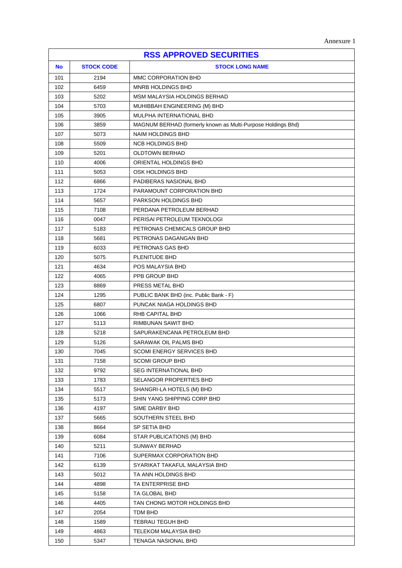| <b>RSS APPROVED SECURITIES</b> |                   |                                                              |
|--------------------------------|-------------------|--------------------------------------------------------------|
| <b>No</b>                      | <b>STOCK CODE</b> | <b>STOCK LONG NAME</b>                                       |
| 101                            | 2194              | MMC CORPORATION BHD                                          |
| 102                            | 6459              | <b>MNRB HOLDINGS BHD</b>                                     |
| 103                            | 5202              | MSM MALAYSIA HOLDINGS BERHAD                                 |
| 104                            | 5703              | MUHIBBAH ENGINEERING (M) BHD                                 |
| 105                            | 3905              | MULPHA INTERNATIONAL BHD                                     |
| 106                            | 3859              | MAGNUM BERHAD (formerly known as Multi-Purpose Holdings Bhd) |
| 107                            | 5073              | <b>NAIM HOLDINGS BHD</b>                                     |
| 108                            | 5509              | <b>NCB HOLDINGS BHD</b>                                      |
| 109                            | 5201              | <b>OLDTOWN BERHAD</b>                                        |
| 110                            | 4006              | ORIENTAL HOLDINGS BHD                                        |
| 111                            | 5053              | OSK HOLDINGS BHD                                             |
| 112                            | 6866              | PADIBERAS NASIONAL BHD                                       |
| 113                            | 1724              | PARAMOUNT CORPORATION BHD                                    |
| 114                            | 5657              | PARKSON HOLDINGS BHD                                         |
| 115                            | 7108              | PERDANA PETROLEUM BERHAD                                     |
| 116                            | 0047              | PERISAI PETROLEUM TEKNOLOGI                                  |
| 117                            | 5183              | PETRONAS CHEMICALS GROUP BHD                                 |
| 118                            | 5681              | PETRONAS DAGANGAN BHD                                        |
| 119                            | 6033              | PETRONAS GAS BHD                                             |
| 120                            | 5075              | PLENITUDE BHD                                                |
| 121                            | 4634              | POS MALAYSIA BHD                                             |
| 122                            | 4065              | PPB GROUP BHD                                                |
| 123                            | 8869              | PRESS METAL BHD                                              |
| 124                            | 1295              | PUBLIC BANK BHD (inc. Public Bank - F)                       |
| 125                            | 6807              | PUNCAK NIAGA HOLDINGS BHD                                    |
| 126                            | 1066              | RHB CAPITAL BHD                                              |
| 127                            | 5113              | RIMBUNAN SAWIT BHD                                           |
| 128                            | 5218              | SAPURAKENCANA PETROLEUM BHD                                  |
| 129                            | 5126              | SARAWAK OIL PALMS BHD                                        |
| 130                            | 7045              | <b>SCOMI ENERGY SERVICES BHD</b>                             |
| 131                            | 7158              | <b>SCOMI GROUP BHD</b>                                       |
| 132                            | 9792              | <b>SEG INTERNATIONAL BHD</b>                                 |
| 133                            | 1783              | SELANGOR PROPERTIES BHD                                      |
| 134                            | 5517              | SHANGRI-LA HOTELS (M) BHD                                    |
| 135                            | 5173              | SHIN YANG SHIPPING CORP BHD                                  |
| 136                            | 4197              | SIME DARBY BHD                                               |
| 137                            | 5665              | SOUTHERN STEEL BHD                                           |
| 138                            | 8664              | SP SETIA BHD                                                 |
| 139                            | 6084              | STAR PUBLICATIONS (M) BHD                                    |
| 140                            | 5211              | <b>SUNWAY BERHAD</b>                                         |
| 141                            | 7106              | SUPERMAX CORPORATION BHD                                     |
| 142                            | 6139              | SYARIKAT TAKAFUL MALAYSIA BHD                                |
| 143                            | 5012              | TA ANN HOLDINGS BHD                                          |
| 144                            | 4898              | TA ENTERPRISE BHD                                            |
| 145                            | 5158              | TA GLOBAL BHD                                                |
| 146                            | 4405              | TAN CHONG MOTOR HOLDINGS BHD                                 |
| 147                            | 2054              | TDM BHD                                                      |
| 148                            | 1589              | TEBRAU TEGUH BHD                                             |
| 149                            | 4863              | TELEKOM MALAYSIA BHD                                         |
| 150                            | 5347              | TENAGA NASIONAL BHD                                          |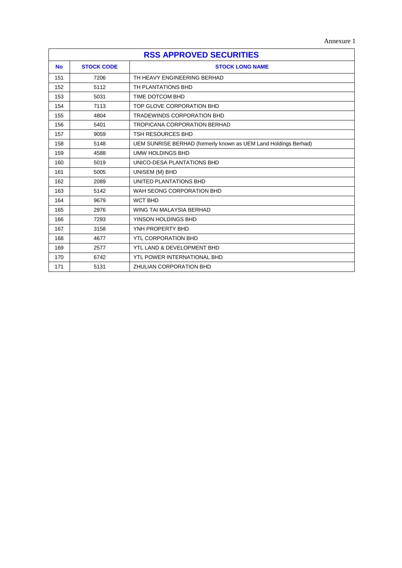Annexure 1

| <b>RSS APPROVED SECURITIES</b> |                   |                                                                 |
|--------------------------------|-------------------|-----------------------------------------------------------------|
| <b>No</b>                      | <b>STOCK CODE</b> | <b>STOCK LONG NAME</b>                                          |
| 151                            | 7206              | TH HEAVY ENGINEERING BERHAD                                     |
| 152                            | 5112              | TH PLANTATIONS BHD                                              |
| 153                            | 5031              | TIME DOTCOM BHD                                                 |
| 154                            | 7113              | TOP GLOVE CORPORATION BHD                                       |
| 155                            | 4804              | <b>TRADEWINDS CORPORATION BHD</b>                               |
| 156                            | 5401              | <b>TROPICANA CORPORATION BERHAD</b>                             |
| 157                            | 9059              | <b>TSH RESOURCES BHD</b>                                        |
| 158                            | 5148              | UEM SUNRISE BERHAD (formerly known as UEM Land Holdings Berhad) |
| 159                            | 4588              | <b>UMW HOLDINGS BHD</b>                                         |
| 160                            | 5019              | UNICO-DESA PLANTATIONS BHD                                      |
| 161                            | 5005              | UNISEM (M) BHD                                                  |
| 162                            | 2089              | UNITED PLANTATIONS BHD                                          |
| 163                            | 5142              | WAH SEONG CORPORATION BHD                                       |
| 164                            | 9679              | <b>WCT BHD</b>                                                  |
| 165                            | 2976              | WING TAI MALAYSIA BERHAD                                        |
| 166                            | 7293              | YINSON HOLDINGS BHD                                             |
| 167                            | 3158              | YNH PROPERTY BHD                                                |
| 168                            | 4677              | <b>YTL CORPORATION BHD</b>                                      |
| 169                            | 2577              | YTL LAND & DEVELOPMENT BHD                                      |
| 170                            | 6742              | YTL POWER INTERNATIONAL BHD                                     |
| 171                            | 5131              | ZHULIAN CORPORATION BHD                                         |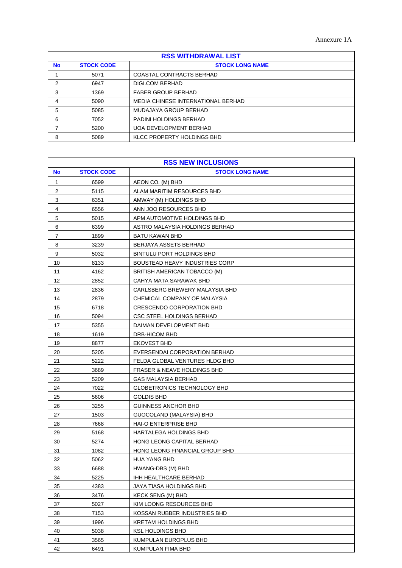| <b>RSS WITHDRAWAL LIST</b> |                   |                                    |
|----------------------------|-------------------|------------------------------------|
| <b>No</b>                  | <b>STOCK CODE</b> | <b>STOCK LONG NAME</b>             |
|                            | 5071              | <b>COASTAL CONTRACTS BERHAD</b>    |
| 2                          | 6947              | DIGI.COM BERHAD                    |
| 3                          | 1369              | <b>FABER GROUP BERHAD</b>          |
| 4                          | 5090              | MEDIA CHINESE INTERNATIONAL BERHAD |
| 5                          | 5085              | MUDAJAYA GROUP BERHAD              |
| 6                          | 7052              | PADINI HOLDINGS BERHAD             |
| 7                          | 5200              | <b>UOA DEVELOPMENT BERHAD</b>      |
| 8                          | 5089              | KLCC PROPERTY HOLDINGS BHD         |

| <b>RSS NEW INCLUSIONS</b> |                   |                                        |
|---------------------------|-------------------|----------------------------------------|
| <b>No</b>                 | <b>STOCK CODE</b> | <b>STOCK LONG NAME</b>                 |
| 1                         | 6599              | AEON CO. (M) BHD                       |
| 2                         | 5115              | ALAM MARITIM RESOURCES BHD             |
| 3                         | 6351              | AMWAY (M) HOLDINGS BHD                 |
| $\overline{\mathbf{4}}$   | 6556              | ANN JOO RESOURCES BHD                  |
| $\mathbf 5$               | 5015              | APM AUTOMOTIVE HOLDINGS BHD            |
| 6                         | 6399              | ASTRO MALAYSIA HOLDINGS BERHAD         |
| 7                         | 1899              | <b>BATU KAWAN BHD</b>                  |
| 8                         | 3239              | BERJAYA ASSETS BERHAD                  |
| 9                         | 5032              | BINTULU PORT HOLDINGS BHD              |
| 10                        | 8133              | <b>BOUSTEAD HEAVY INDUSTRIES CORP</b>  |
| 11                        | 4162              | BRITISH AMERICAN TOBACCO (M)           |
| 12                        | 2852              | CAHYA MATA SARAWAK BHD                 |
| 13                        | 2836              | CARLSBERG BREWERY MALAYSIA BHD         |
| 14                        | 2879              | CHEMICAL COMPANY OF MALAYSIA           |
| 15                        | 6718              | CRESCENDO CORPORATION BHD              |
| 16                        | 5094              | CSC STEEL HOLDINGS BERHAD              |
| 17                        | 5355              | DAIMAN DEVELOPMENT BHD                 |
| 18                        | 1619              | DRB-HICOM BHD                          |
| 19                        | 8877              | <b>EKOVEST BHD</b>                     |
| 20                        | 5205              | EVERSENDAI CORPORATION BERHAD          |
| 21                        | 5222              | FELDA GLOBAL VENTURES HLDG BHD         |
| 22                        | 3689              | <b>FRASER &amp; NEAVE HOLDINGS BHD</b> |
| 23                        | 5209              | <b>GAS MALAYSIA BERHAD</b>             |
| 24                        | 7022              | GLOBETRONICS TECHNOLOGY BHD            |
| 25                        | 5606              | <b>GOLDIS BHD</b>                      |
| 26                        | 3255              | <b>GUINNESS ANCHOR BHD</b>             |
| 27                        | 1503              | GUOCOLAND (MALAYSIA) BHD               |
| 28                        | 7668              | <b>HAI-O ENTERPRISE BHD</b>            |
| 29                        | 5168              | HARTALEGA HOLDINGS BHD                 |
| 30                        | 5274              | HONG LEONG CAPITAL BERHAD              |
| 31                        | 1082              | HONG LEONG FINANCIAL GROUP BHD         |
| 32                        | 5062              | <b>HUA YANG BHD</b>                    |
| 33                        | 6688              | HWANG-DBS (M) BHD                      |
| 34                        | 5225              | IHH HEALTHCARE BERHAD                  |
| 35                        | 4383              | JAYA TIASA HOLDINGS BHD                |
| 36                        | 3476              | KECK SENG (M) BHD                      |
| 37                        | 5027              | KIM LOONG RESOURCES BHD                |
| 38                        | 7153              | KOSSAN RUBBER INDUSTRIES BHD           |
| 39                        | 1996              | <b>KRETAM HOLDINGS BHD</b>             |
| 40                        | 5038              | <b>KSL HOLDINGS BHD</b>                |
| 41                        | 3565              | KUMPULAN EUROPLUS BHD                  |
| 42                        | 6491              | KUMPULAN FIMA BHD                      |